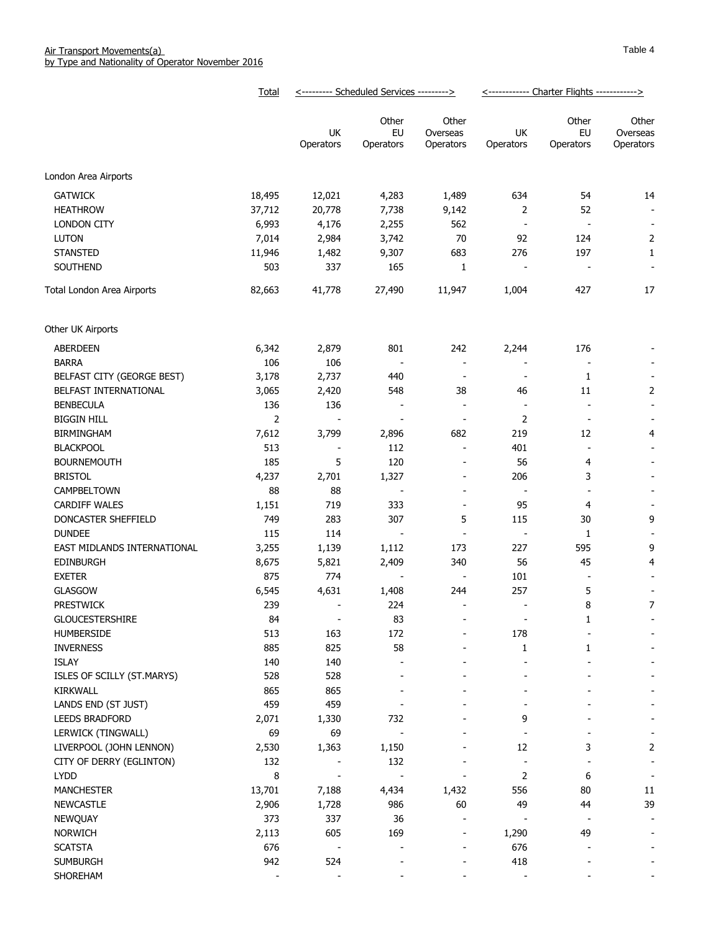|                             | <b>Total</b>   | <--------- Scheduled Services ---------> |                          |                                | <------------ Charter Flights ------------> |                          |                                |
|-----------------------------|----------------|------------------------------------------|--------------------------|--------------------------------|---------------------------------------------|--------------------------|--------------------------------|
|                             |                | UK<br>Operators                          | Other<br>EU<br>Operators | Other<br>Overseas<br>Operators | UK<br>Operators                             | Other<br>EU<br>Operators | Other<br>Overseas<br>Operators |
| London Area Airports        |                |                                          |                          |                                |                                             |                          |                                |
|                             |                |                                          |                          |                                |                                             |                          |                                |
| <b>GATWICK</b>              | 18,495         | 12,021                                   | 4,283                    | 1,489                          | 634                                         | 54                       | 14                             |
| <b>HEATHROW</b>             | 37,712         | 20,778                                   | 7,738                    | 9,142                          | 2                                           | 52                       | $\overline{\phantom{a}}$       |
| <b>LONDON CITY</b>          | 6,993          | 4,176                                    | 2,255                    | 562                            |                                             |                          | $\overline{\phantom{a}}$       |
| <b>LUTON</b>                | 7,014          | 2,984                                    | 3,742                    | 70                             | 92                                          | 124                      | $\overline{2}$                 |
| <b>STANSTED</b>             | 11,946         | 1,482                                    | 9,307                    | 683                            | 276                                         | 197                      | $\mathbf{1}$                   |
| SOUTHEND                    | 503            | 337                                      | 165                      | $\mathbf{1}$                   |                                             |                          | $\overline{\phantom{a}}$       |
| Total London Area Airports  | 82,663         | 41,778                                   | 27,490                   | 11,947                         | 1,004                                       | 427                      | 17                             |
| Other UK Airports           |                |                                          |                          |                                |                                             |                          |                                |
| <b>ABERDEEN</b>             | 6,342          | 2,879                                    | 801                      | 242                            | 2,244                                       | 176                      |                                |
| <b>BARRA</b>                | 106            | 106                                      |                          | $\overline{\phantom{a}}$       |                                             |                          |                                |
| BELFAST CITY (GEORGE BEST)  | 3,178          | 2,737                                    | 440                      | $\overline{\phantom{a}}$       | $\overline{\phantom{a}}$                    | 1                        |                                |
| BELFAST INTERNATIONAL       | 3,065          | 2,420                                    | 548                      | 38                             | 46                                          | 11                       | $\overline{2}$                 |
| <b>BENBECULA</b>            | 136            | 136                                      | $\overline{\phantom{a}}$ | $\blacksquare$                 | $\overline{\phantom{a}}$                    | $\overline{\phantom{a}}$ | $\overline{\phantom{a}}$       |
| <b>BIGGIN HILL</b>          | $\overline{2}$ |                                          |                          | $\overline{\phantom{a}}$       | 2                                           | $\overline{\phantom{a}}$ |                                |
| BIRMINGHAM                  | 7,612          | 3,799                                    | 2,896                    | 682                            | 219                                         | 12                       | 4                              |
| <b>BLACKPOOL</b>            | 513            |                                          | 112                      | $\overline{\phantom{a}}$       | 401                                         | $\overline{\phantom{a}}$ |                                |
| <b>BOURNEMOUTH</b>          | 185            | 5                                        | 120                      | $\overline{\phantom{a}}$       | 56                                          | 4                        |                                |
| <b>BRISTOL</b>              | 4,237          | 2,701                                    | 1,327                    | $\overline{\phantom{a}}$       | 206                                         | 3                        |                                |
| CAMPBELTOWN                 | 88             | 88                                       | $\overline{\phantom{a}}$ | $\overline{\phantom{a}}$       | $\overline{\phantom{a}}$                    |                          |                                |
| <b>CARDIFF WALES</b>        | 1,151          | 719                                      | 333                      | $\overline{\phantom{a}}$       | 95                                          | 4                        |                                |
| DONCASTER SHEFFIELD         | 749            | 283                                      | 307                      | 5                              | 115                                         | 30                       | 9                              |
| <b>DUNDEE</b>               | 115            | 114                                      | $\overline{\phantom{a}}$ | $\overline{\phantom{a}}$       | $\overline{\phantom{a}}$                    | 1                        |                                |
| EAST MIDLANDS INTERNATIONAL | 3,255          | 1,139                                    | 1,112                    | 173                            | 227                                         | 595                      | 9                              |
| <b>EDINBURGH</b>            | 8,675          | 5,821                                    | 2,409                    | 340                            | 56                                          | 45                       | 4                              |
| <b>EXETER</b>               | 875            | 774                                      | $\overline{\phantom{a}}$ | $\blacksquare$                 | 101                                         |                          |                                |
| <b>GLASGOW</b>              | 6,545          | 4,631                                    | 1,408                    | 244                            | 257                                         | 5                        |                                |
| <b>PRESTWICK</b>            | 239            | $\sim$                                   | 224                      | $\overline{\phantom{a}}$       | $\overline{\phantom{a}}$                    | 8                        | 7                              |
| <b>GLOUCESTERSHIRE</b>      | 84             | $\overline{\phantom{a}}$                 | 83                       | $\overline{\phantom{0}}$       | $\overline{a}$                              | $\mathbf{1}$             |                                |
| HUMBERSIDE                  | 513            | 163                                      | 172                      |                                | 178                                         |                          |                                |
| <b>INVERNESS</b>            | 885            | 825                                      | 58                       |                                | 1                                           | 1                        |                                |
| ISLAY                       | 140            | 140                                      |                          |                                |                                             |                          |                                |
| ISLES OF SCILLY (ST.MARYS)  | 528            | 528                                      |                          |                                |                                             |                          |                                |
| KIRKWALL                    | 865            | 865                                      |                          |                                |                                             |                          |                                |
| LANDS END (ST JUST)         | 459            | 459                                      |                          |                                |                                             |                          |                                |
| LEEDS BRADFORD              | 2,071          | 1,330                                    | 732                      |                                | 9                                           |                          |                                |
| LERWICK (TINGWALL)          | 69             | 69                                       | $\overline{\phantom{a}}$ |                                |                                             |                          |                                |
| LIVERPOOL (JOHN LENNON)     | 2,530          | 1,363                                    | 1,150                    |                                | 12                                          | 3                        | $\overline{2}$                 |
| CITY OF DERRY (EGLINTON)    | 132            |                                          | 132                      |                                | $\frac{1}{2}$                               |                          | $\overline{\phantom{a}}$       |
| <b>LYDD</b>                 | 8              | $\overline{\phantom{a}}$                 | $\overline{a}$           | ÷                              | $\overline{2}$                              | 6                        | ٠                              |
| <b>MANCHESTER</b>           | 13,701         | 7,188                                    | 4,434                    | 1,432                          | 556                                         | 80                       | $11\,$                         |
| <b>NEWCASTLE</b>            | 2,906          | 1,728                                    | 986                      | 60                             | 49                                          | 44                       | 39                             |
| <b>NEWQUAY</b>              | 373            | 337                                      | 36                       |                                |                                             |                          |                                |
| <b>NORWICH</b>              | 2,113          | 605                                      | 169                      | $\overline{\phantom{a}}$       | 1,290                                       | 49                       |                                |
| <b>SCATSTA</b>              | 676            | $\blacksquare$                           |                          | $\overline{a}$                 | 676                                         |                          |                                |
| <b>SUMBURGH</b>             | 942            | 524                                      |                          |                                | 418                                         |                          |                                |
| SHOREHAM                    |                |                                          |                          |                                |                                             |                          |                                |